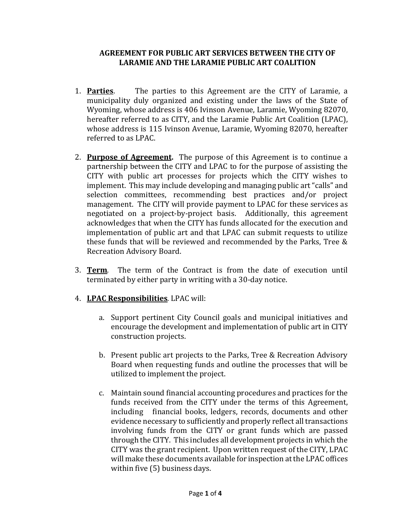## **AGREEMENT FOR PUBLIC ART SERVICES BETWEEN THE CITY OF LARAMIE AND THE LARAMIE PUBLIC ART COALITION**

- 1. **Parties**. The parties to this Agreement are the CITY of Laramie, a municipality duly organized and existing under the laws of the State of Wyoming, whose address is 406 Ivinson Avenue, Laramie, Wyoming 82070, hereafter referred to as CITY, and the Laramie Public Art Coalition (LPAC), whose address is 115 Ivinson Avenue, Laramie, Wyoming 82070, hereafter referred to as LPAC.
- 2. **Purpose of Agreement.** The purpose of this Agreement is to continue a partnership between the CITY and LPAC to for the purpose of assisting the CITY with public art processes for projects which the CITY wishes to implement. This may include developing and managing public art "calls" and selection committees, recommending best practices and/or project management. The CITY will provide payment to LPAC for these services as negotiated on a project-by-project basis. Additionally, this agreement acknowledges that when the CITY has funds allocated for the execution and implementation of public art and that LPAC can submit requests to utilize these funds that will be reviewed and recommended by the Parks, Tree & Recreation Advisory Board.
- 3. **Term**. The term of the Contract is from the date of execution until terminated by either party in writing with a 30-day notice.
- 4. **LPAC Responsibilities**. LPAC will:
	- a. Support pertinent City Council goals and municipal initiatives and encourage the development and implementation of public art in CITY construction projects.
	- b. Present public art projects to the Parks, Tree & Recreation Advisory Board when requesting funds and outline the processes that will be utilized to implement the project.
	- c. Maintain sound financial accounting procedures and practices for the funds received from the CITY under the terms of this Agreement, including financial books, ledgers, records, documents and other evidence necessary to sufficiently and properly reflect all transactions involving funds from the CITY or grant funds which are passed through the CITY. This includes all development projects in which the CITY was the grant recipient. Upon written request of the CITY, LPAC will make these documents available for inspection at the LPAC offices within five (5) business days.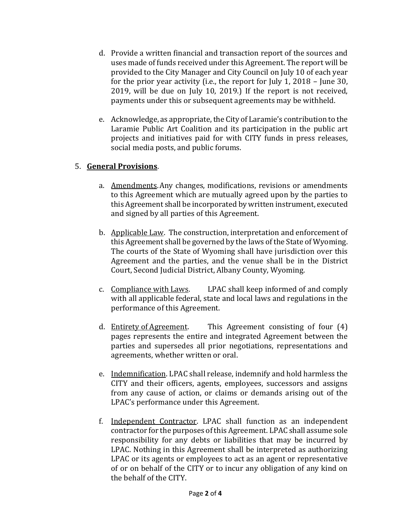- d. Provide a written financial and transaction report of the sources and uses made of funds received under this Agreement. The report will be provided to the City Manager and City Council on July 10 of each year for the prior year activity (i.e., the report for July 1, 2018 – June 30, 2019, will be due on July 10, 2019.) If the report is not received, payments under this or subsequent agreements may be withheld.
- e. Acknowledge, as appropriate, the City of Laramie's contribution to the Laramie Public Art Coalition and its participation in the public art projects and initiatives paid for with CITY funds in press releases, social media posts, and public forums.

## 5. **General Provisions**.

- a. Amendments.Any changes, modifications, revisions or amendments to this Agreement which are mutually agreed upon by the parties to this Agreement shall be incorporated by written instrument, executed and signed by all parties of this Agreement.
- b. Applicable Law. The construction, interpretation and enforcement of this Agreement shall be governed by the laws of the State of Wyoming. The courts of the State of Wyoming shall have jurisdiction over this Agreement and the parties, and the venue shall be in the District Court, Second Judicial District, Albany County, Wyoming.
- c. Compliance with Laws. LPAC shall keep informed of and comply with all applicable federal, state and local laws and regulations in the performance of this Agreement.
- d. Entirety of Agreement. This Agreement consisting of four (4) pages represents the entire and integrated Agreement between the parties and supersedes all prior negotiations, representations and agreements, whether written or oral.
- e. Indemnification. LPAC shall release, indemnify and hold harmless the CITY and their officers, agents, employees, successors and assigns from any cause of action, or claims or demands arising out of the LPAC's performance under this Agreement.
- f. Independent Contractor. LPAC shall function as an independent contractor for the purposes of this Agreement. LPAC shall assume sole responsibility for any debts or liabilities that may be incurred by LPAC. Nothing in this Agreement shall be interpreted as authorizing LPAC or its agents or employees to act as an agent or representative of or on behalf of the CITY or to incur any obligation of any kind on the behalf of the CITY.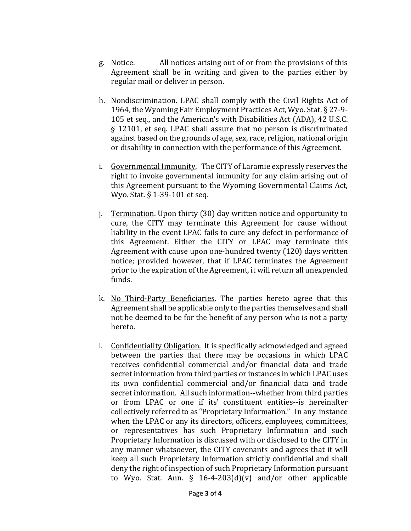- g. Notice. All notices arising out of or from the provisions of this Agreement shall be in writing and given to the parties either by regular mail or deliver in person.
- h. Nondiscrimination. LPAC shall comply with the Civil Rights Act of 1964, the Wyoming Fair Employment Practices Act, Wyo. Stat. § 27-9- 105 et seq., and the American's with Disabilities Act (ADA), 42 U.S.C. § 12101, et seq. LPAC shall assure that no person is discriminated against based on the grounds of age, sex, race, religion, national origin or disability in connection with the performance of this Agreement.
- i. Governmental Immunity. The CITY of Laramie expressly reserves the right to invoke governmental immunity for any claim arising out of this Agreement pursuant to the Wyoming Governmental Claims Act, Wyo. Stat. § 1-39-101 et seq.
- j. Termination. Upon thirty (30) day written notice and opportunity to cure, the CITY may terminate this Agreement for cause without liability in the event LPAC fails to cure any defect in performance of this Agreement. Either the CITY or LPAC may terminate this Agreement with cause upon one-hundred twenty (120) days written notice; provided however, that if LPAC terminates the Agreement prior to the expiration of the Agreement, it will return all unexpended funds.
- k. No Third-Party Beneficiaries. The parties hereto agree that this Agreement shall be applicable only to the parties themselves and shall not be deemed to be for the benefit of any person who is not a party hereto.
- l. Confidentiality Obligation. It is specifically acknowledged and agreed between the parties that there may be occasions in which LPAC receives confidential commercial and/or financial data and trade secret information from third parties or instances in which LPAC uses its own confidential commercial and/or financial data and trade secret information. All such information--whether from third parties or from LPAC or one if its' constituent entities--is hereinafter collectively referred to as "Proprietary Information." In any instance when the LPAC or any its directors, officers, employees, committees, or representatives has such Proprietary Information and such Proprietary Information is discussed with or disclosed to the CITY in any manner whatsoever, the CITY covenants and agrees that it will keep all such Proprietary Information strictly confidential and shall deny the right of inspection of such Proprietary Information pursuant to Wyo. Stat. Ann.  $\S$  16-4-203(d)(v) and/or other applicable